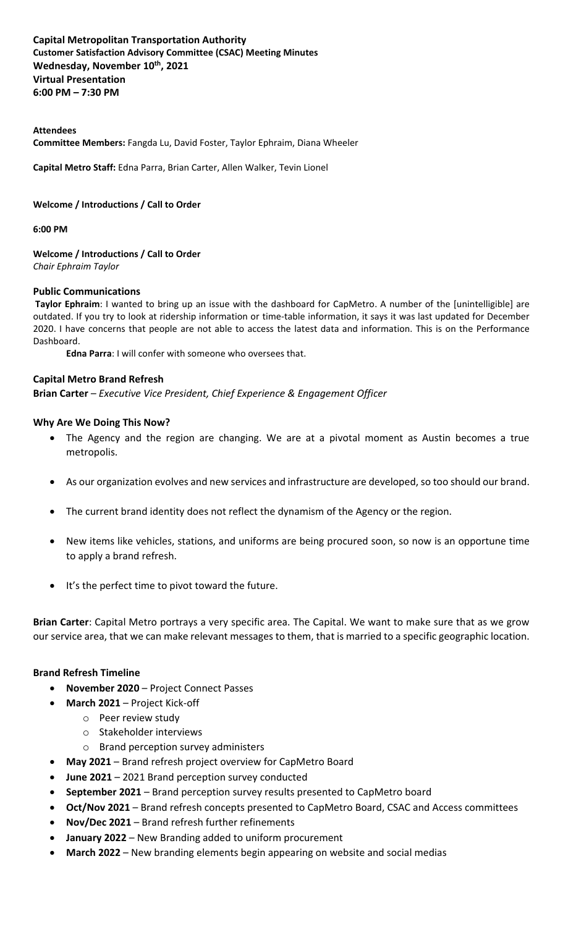#### **Capital Metropolitan Transportation Authority  Customer Satisfaction Advisory Committee (CSAC) Meeting Minutes Wednesday, November 10th , 2021  Virtual Presentation 6:00 PM – 7:30 PM**

#### **Attendees**

**Committee Members:** Fangda Lu, David Foster, Taylor Ephraim, Diana Wheeler

**Capital Metro Staff:** Edna Parra, Brian Carter, Allen Walker, Tevin Lionel

#### **Welcome / Introductions / Call to Order**

#### **6:00 PM**

**Welcome / Introductions / Call to Order** *Chair Ephraim Taylor*

#### **Public Communications**

**Taylor Ephraim**: I wanted to bring up an issue with the dashboard for CapMetro. A number of the [unintelligible] are outdated. If you try to look at ridership information or time-table information, it says it was last updated for December 2020. I have concerns that people are not able to access the latest data and information. This is on the Performance Dashboard.

**Edna Parra**: I will confer with someone who oversees that.

#### **Capital Metro Brand Refresh**

**Brian Carter** *– Executive Vice President, Chief Experience & Engagement Officer*

#### **Why Are We Doing This Now?**

- The Agency and the region are changing. We are at a pivotal moment as Austin becomes a true metropolis.
- As our organization evolves and new services and infrastructure are developed, so too should our brand.
- The current brand identity does not reflect the dynamism of the Agency or the region.
- New items like vehicles, stations, and uniforms are being procured soon, so now is an opportune time to apply a brand refresh.
- It's the perfect time to pivot toward the future.

**Brian Carter**: Capital Metro portrays a very specific area. The Capital. We want to make sure that as we grow our service area, that we can make relevant messages to them, that is married to a specific geographic location.

#### **Brand Refresh Timeline**

- **November 2020** Project Connect Passes
- **March 2021** Project Kick-off
	- o Peer review study
	- o Stakeholder interviews
	- o Brand perception survey administers
- **May 2021** Brand refresh project overview for CapMetro Board
- **June 2021** 2021 Brand perception survey conducted
- **September 2021** Brand perception survey results presented to CapMetro board
- **Oct/Nov 2021** Brand refresh concepts presented to CapMetro Board, CSAC and Access committees
- **Nov/Dec 2021** Brand refresh further refinements
- **January 2022** New Branding added to uniform procurement
- **March 2022** New branding elements begin appearing on website and social medias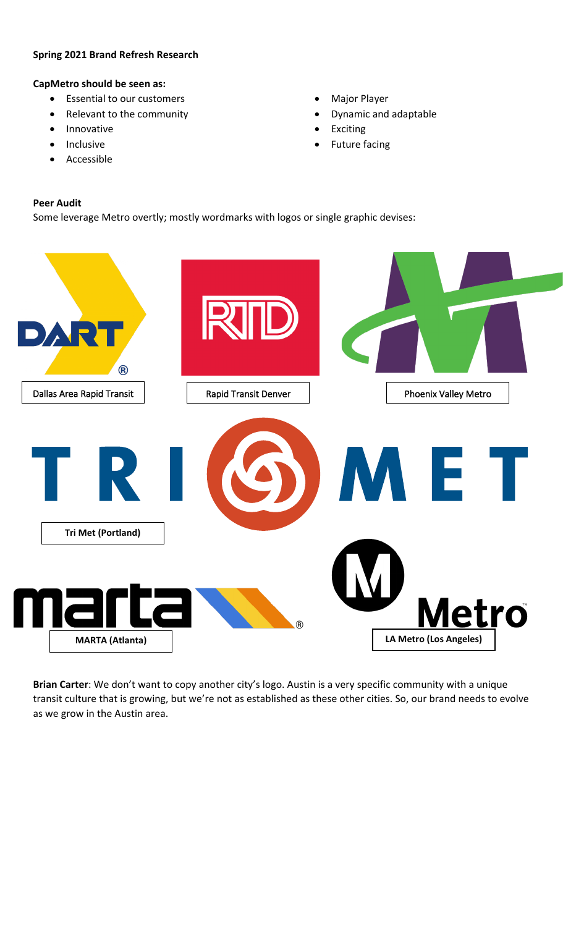#### **Spring 2021 Brand Refresh Research**

#### **CapMetro should be seen as:**

- Essential to our customers
- Relevant to the community
- Innovative
- Inclusive
- **Accessible**
- Major Player
- Dynamic and adaptable
- **Exciting**
- Future facing

#### **Peer Audit**

Some leverage Metro overtly; mostly wordmarks with logos or single graphic devises:



**Brian Carter**: We don't want to copy another city's logo. Austin is a very specific community with a unique transit culture that is growing, but we're not as established as these other cities. So, our brand needs to evolve as we grow in the Austin area.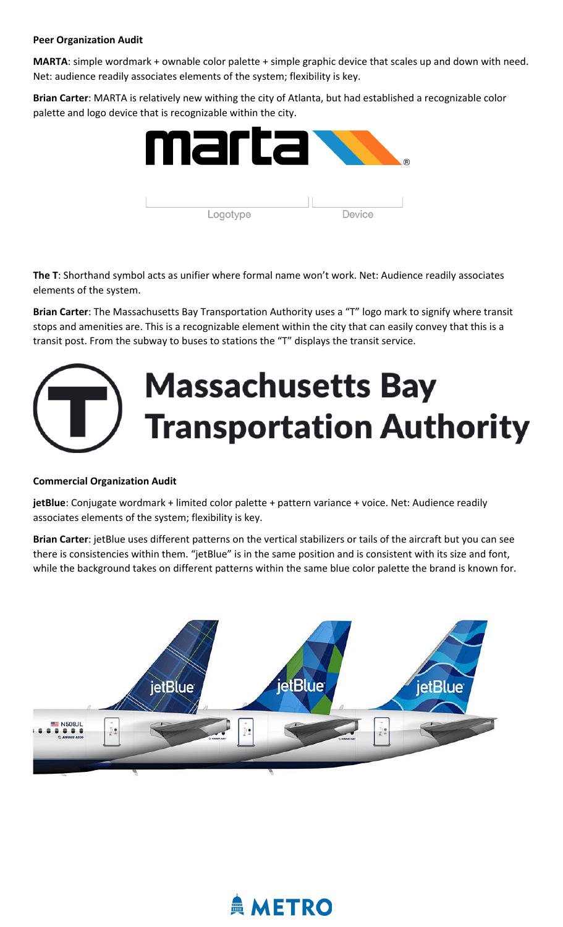#### **Peer Organization Audit**

**MARTA**: simple wordmark + ownable color palette + simple graphic device that scales up and down with need. Net: audience readily associates elements of the system; flexibility is key.

**Brian Carter**: MARTA is relatively new withing the city of Atlanta, but had established a recognizable color palette and logo device that is recognizable within the city.



**The T**: Shorthand symbol acts as unifier where formal name won't work. Net: Audience readily associates elements of the system.

**Brian Carter**: The Massachusetts Bay Transportation Authority uses a "T" logo mark to signify where transit stops and amenities are. This is a recognizable element within the city that can easily convey that this is a transit post. From the subway to buses to stations the "T" displays the transit service.

# **Massachusetts Bay Transportation Authority**

#### **Commercial Organization Audit**

**jetBlue**: Conjugate wordmark + limited color palette + pattern variance + voice. Net: Audience readily associates elements of the system; flexibility is key.

**Brian Carter**: jetBlue uses different patterns on the vertical stabilizers or tails of the aircraft but you can see there is consistencies within them. "jetBlue" is in the same position and is consistent with its size and font, while the background takes on different patterns within the same blue color palette the brand is known for.



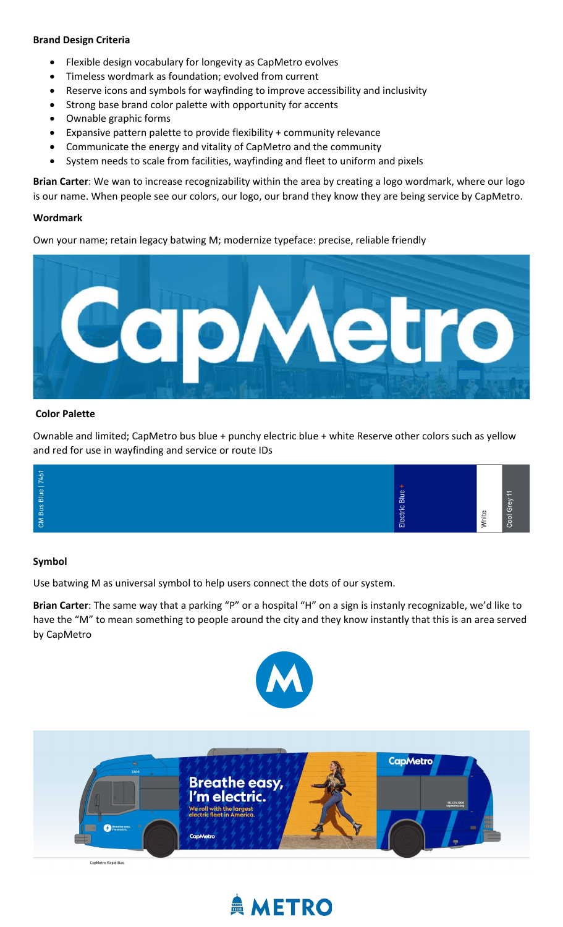#### **Brand Design Criteria**

- Flexible design vocabulary for longevity as CapMetro evolves
- Timeless wordmark as foundation; evolved from current
- Reserve icons and symbols for wayfinding to improve accessibility and inclusivity
- Strong base brand color palette with opportunity for accents
- Ownable graphic forms
- Expansive pattern palette to provide flexibility + community relevance
- Communicate the energy and vitality of CapMetro and the community
- System needs to scale from facilities, wayfinding and fleet to uniform and pixels

**Brian Carter**: We wan to increase recognizability within the area by creating a logo wordmark, where our logo is our name. When people see our colors, our logo, our brand they know they are being service by CapMetro.

#### **Wordmark**

Own your name; retain legacy batwing M; modernize typeface: precise, reliable friendly



#### **Color Palette**

Ownable and limited; CapMetro bus blue + punchy electric blue + white Reserve other colors such as yellow and red for use in wayfinding and service or route IDs

| $\overline{ }$<br>-0<br>. .<br>Blue<br>$\omega$<br>–<br>-<br>-<br>ᄒ<br>ъ<br><b>Bus</b><br>$\circ$<br>ò<br>د<br>Œ<br><b>INC</b><br>$\overline{\phantom{0}}$<br>$\omega$<br>靣 |
|-----------------------------------------------------------------------------------------------------------------------------------------------------------------------------|
|-----------------------------------------------------------------------------------------------------------------------------------------------------------------------------|

#### **Symbol**

Use batwing M as universal symbol to help users connect the dots of our system.

**Brian Carter**: The same way that a parking "P" or a hospital "H" on a sign is instanly recognizable, we'd like to have the "M" to mean something to people around the city and they know instantly that this is an area served by CapMetro





## **AMETRO**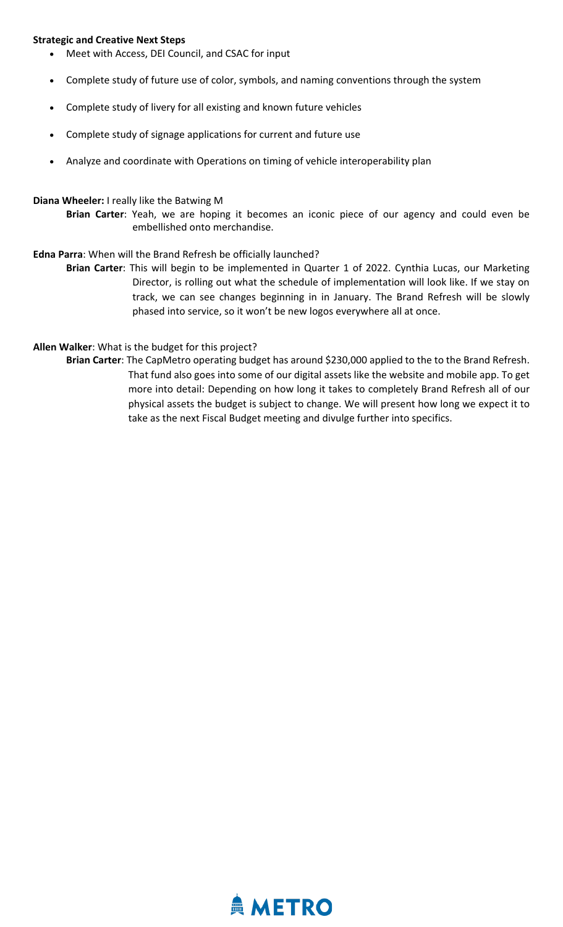#### **Strategic and Creative Next Steps**

- Meet with Access, DEI Council, and CSAC for input
- Complete study of future use of color, symbols, and naming conventions through the system
- Complete study of livery for all existing and known future vehicles
- Complete study of signage applications for current and future use
- Analyze and coordinate with Operations on timing of vehicle interoperability plan

#### **Diana Wheeler:** I really like the Batwing M

**Brian Carter**: Yeah, we are hoping it becomes an iconic piece of our agency and could even be embellished onto merchandise.

#### **Edna Parra**: When will the Brand Refresh be officially launched?

**Brian Carter**: This will begin to be implemented in Quarter 1 of 2022. Cynthia Lucas, our Marketing Director, is rolling out what the schedule of implementation will look like. If we stay on track, we can see changes beginning in in January. The Brand Refresh will be slowly phased into service, so it won't be new logos everywhere all at once.

#### **Allen Walker**: What is the budget for this project?

**Brian Carter**: The CapMetro operating budget has around \$230,000 applied to the to the Brand Refresh. That fund also goes into some of our digital assets like the website and mobile app. To get more into detail: Depending on how long it takes to completely Brand Refresh all of our physical assets the budget is subject to change. We will present how long we expect it to take as the next Fiscal Budget meeting and divulge further into specifics.

### **AMETRO**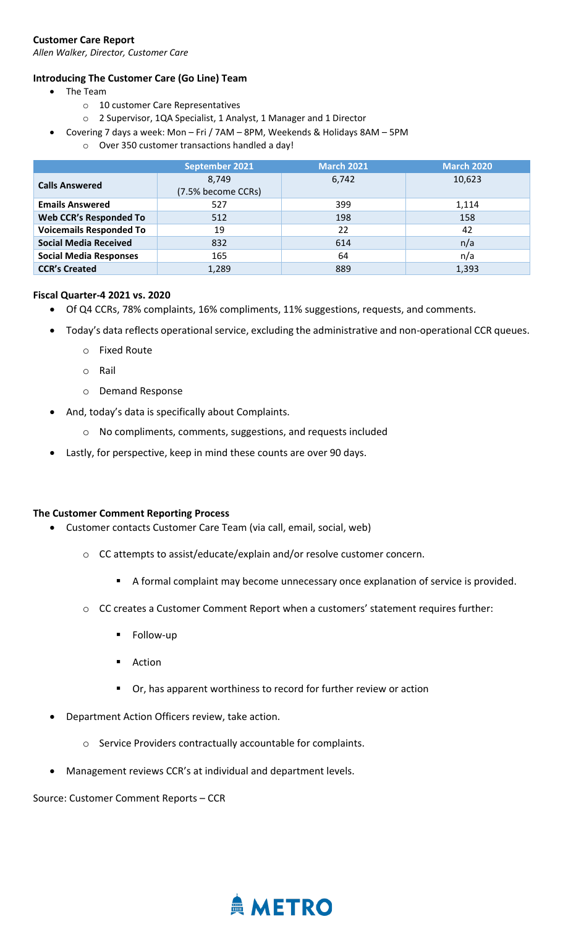#### **Customer Care Report**

*Allen Walker, Director, Customer Care*

#### **Introducing The Customer Care (Go Line) Team**

- The Team
	- o 10 customer Care Representatives
	- o 2 Supervisor, 1QA Specialist, 1 Analyst, 1 Manager and 1 Director
- Covering 7 days a week: Mon Fri / 7AM 8PM, Weekends & Holidays 8AM 5PM
	- o Over 350 customer transactions handled a day!

|                                | September 2021     | <b>March 2021</b> | <b>March 2020</b> |
|--------------------------------|--------------------|-------------------|-------------------|
| <b>Calls Answered</b>          | 8,749              | 6,742             | 10,623            |
|                                | (7.5% become CCRs) |                   |                   |
| <b>Emails Answered</b>         | 527                | 399               | 1,114             |
| Web CCR's Responded To         | 512                | 198               | 158               |
| <b>Voicemails Responded To</b> | 19                 | 22                | 42                |
| <b>Social Media Received</b>   | 832                | 614               | n/a               |
| <b>Social Media Responses</b>  | 165                | 64                | n/a               |
| <b>CCR's Created</b>           | 1,289              | 889               | 1,393             |

#### **Fiscal Quarter-4 2021 vs. 2020**

- Of Q4 CCRs, 78% complaints, 16% compliments, 11% suggestions, requests, and comments.
- Today's data reflects operational service, excluding the administrative and non-operational CCR queues.
	- o Fixed Route
	- o Rail
	- o Demand Response
- And, today's data is specifically about Complaints.
	- o No compliments, comments, suggestions, and requests included
- Lastly, for perspective, keep in mind these counts are over 90 days.

#### **The Customer Comment Reporting Process**

- Customer contacts Customer Care Team (via call, email, social, web)
	- o CC attempts to assist/educate/explain and/or resolve customer concern.
		- A formal complaint may become unnecessary once explanation of service is provided.
	- o CC creates a Customer Comment Report when a customers' statement requires further:
		- Follow-up
		- **Action**
		- Or, has apparent worthiness to record for further review or action
- Department Action Officers review, take action.
	- o Service Providers contractually accountable for complaints.
- Management reviews CCR's at individual and department levels.

Source: Customer Comment Reports – CCR

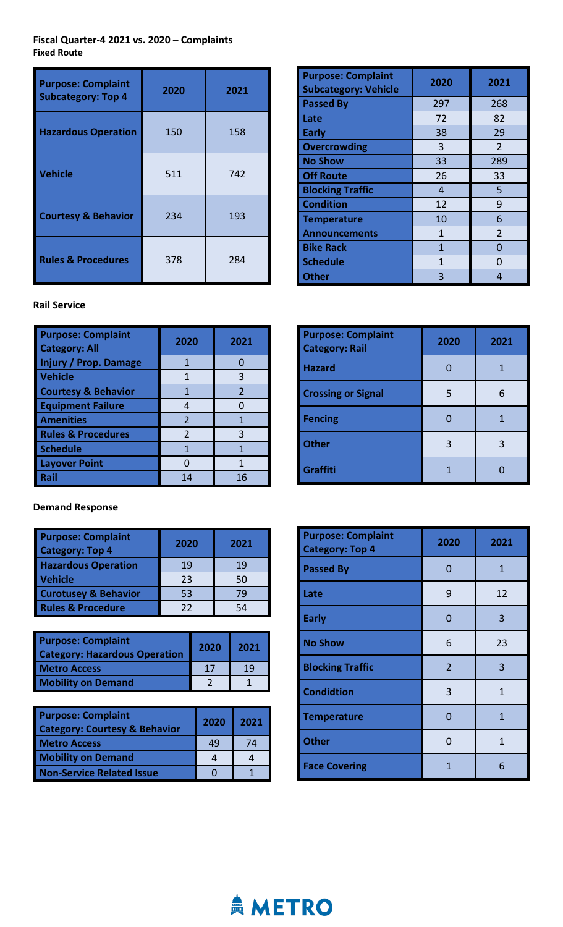**Fiscal Quarter-4 2021 vs. 2020 – Complaints Fixed Route**

| <b>Purpose: Complaint</b><br><b>Subcategory: Top 4</b> | 2020 | 2021 |
|--------------------------------------------------------|------|------|
| <b>Hazardous Operation</b>                             | 150  | 158  |
| <b>Vehicle</b>                                         | 511  | 742  |
| <b>Courtesy &amp; Behavior</b>                         | 234  | 193  |
| <b>Rules &amp; Procedures</b>                          | 378  | 284  |

| <b>Purpose: Complaint</b><br><b>Subcategory: Vehicle</b> | 2020 | 2021           |
|----------------------------------------------------------|------|----------------|
| <b>Passed By</b>                                         | 297  | 268            |
| Late                                                     | 72   | 82             |
| <b>Early</b>                                             | 38   | 29             |
| <b>Overcrowding</b>                                      | 3    | $\overline{2}$ |
| <b>No Show</b>                                           | 33   | 289            |
| <b>Off Route</b>                                         | 26   | 33             |
| <b>Blocking Traffic</b>                                  | 4    | 5              |
| <b>Condition</b>                                         | 12   | 9              |
| <b>Temperature</b>                                       | 10   | 6              |
| <b>Announcements</b>                                     | 1    | $\overline{2}$ |
| <b>Bike Rack</b>                                         | 1    | n              |
| <b>Schedule</b>                                          | 1    | n              |
| <b>Other</b>                                             | 3    | 4              |

#### **Rail Service**

| <b>Purpose: Complaint</b><br><b>Category: All</b> | 2020           | 2021          |
|---------------------------------------------------|----------------|---------------|
| <b>Injury / Prop. Damage</b>                      |                |               |
| <b>Vehicle</b>                                    | 1              | 3             |
| <b>Courtesy &amp; Behavior</b>                    | 1              | $\mathcal{P}$ |
| <b>Equipment Failure</b>                          | 4              |               |
| <b>Amenities</b>                                  | $\overline{2}$ | 1             |
| <b>Rules &amp; Procedures</b>                     | $\mathfrak{p}$ | 3             |
| <b>Schedule</b>                                   | 1              | 1             |
| <b>Layover Point</b>                              |                | 1             |
| Rail                                              | 14             | 16            |

### **Purpose: Complaint Category: Rail <sup>2020</sup> <sup>2021</sup> Hazard** 1 0 1 **Crossing or Signal** 5 6 **Fencing** 0 1 **Other** 3 3 3 3 **Graffiti** 1 0

#### **Demand Response**

| <b>Purpose: Complaint</b><br><b>Category: Top 4</b> | 2020 | 2021 |
|-----------------------------------------------------|------|------|
| <b>Hazardous Operation</b>                          | 19   | 19   |
| <b>Vehicle</b>                                      | 23   | 50   |
| <b>Curotusey &amp; Behavior</b>                     | 53   | 79   |
| <b>Rules &amp; Procedure</b>                        | 22   | 54   |

| <b>Purpose: Complaint</b><br><b>Category: Hazardous Operation</b> | 2020 | 2021 |
|-------------------------------------------------------------------|------|------|
| <b>Metro Access</b>                                               | 17   | 10   |
| <b>Mobility on Demand</b>                                         |      |      |

| <b>Purpose: Complaint</b><br><b>Category: Courtesy &amp; Behavior</b> | 2020 | 2021 |
|-----------------------------------------------------------------------|------|------|
| <b>Metro Access</b>                                                   | 49   | 74   |
| <b>Mobility on Demand</b>                                             |      |      |
| <b>Non-Service Related Issue</b>                                      |      |      |

| <b>Purpose: Complaint</b><br><b>Category: Top 4</b> | 2020           | 2021         |
|-----------------------------------------------------|----------------|--------------|
| <b>Passed By</b>                                    | 0              | $\mathbf{1}$ |
| Late                                                | 9              | 12           |
| <b>Early</b>                                        | 0              | 3            |
| <b>No Show</b>                                      | 6              | 23           |
| <b>Blocking Traffic</b>                             | $\overline{2}$ | 3            |
| <b>Condidtion</b>                                   | 3              | $\mathbf{1}$ |
| <b>Temperature</b>                                  | 0              | $\mathbf{1}$ |
| <b>Other</b>                                        | ŋ              | 1            |
| <b>Face Covering</b>                                | 1              | 6            |

### **AMETRO**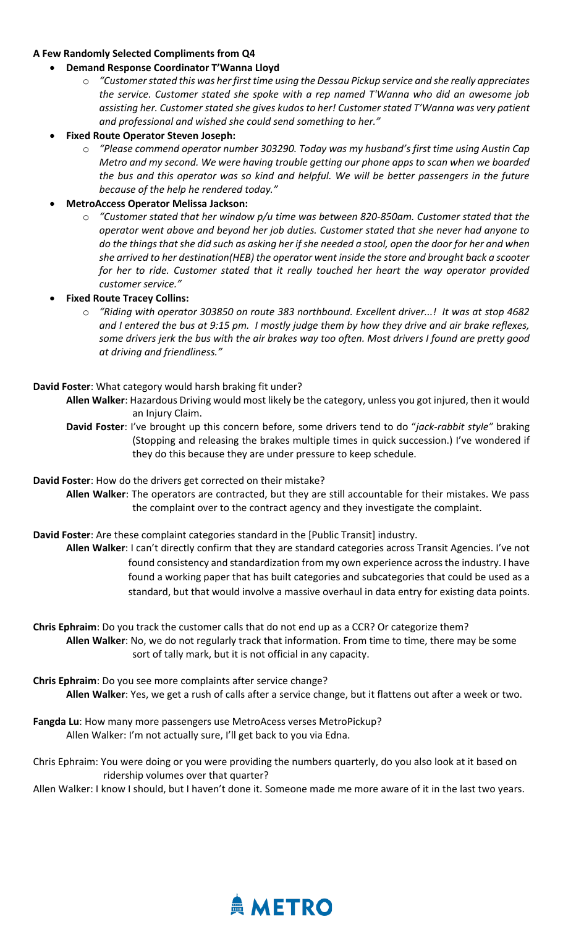#### **A Few Randomly Selected Compliments from Q4**

- **Demand Response Coordinator T'Wanna Lloyd**
	- o *"Customer stated this was her first time using the Dessau Pickup service and she really appreciates the service. Customer stated she spoke with a rep named T'Wanna who did an awesome job assisting her. Customer stated she gives kudos to her! Customer stated T'Wanna was very patient and professional and wished she could send something to her."*
- **Fixed Route Operator Steven Joseph:**
	- o *"Please commend operator number 303290. Today was my husband's first time using Austin Cap Metro and my second. We were having trouble getting our phone apps to scan when we boarded the bus and this operator was so kind and helpful. We will be better passengers in the future because of the help he rendered today."*

#### • **MetroAccess Operator Melissa Jackson:**

- o *"Customer stated that her window p/u time was between 820-850am. Customer stated that the operator went above and beyond her job duties. Customer stated that she never had anyone to do the things that she did such as asking her if she needed a stool, open the door for her and when she arrived to her destination(HEB) the operator went inside the store and brought back a scooter for her to ride. Customer stated that it really touched her heart the way operator provided customer service."*
- **Fixed Route Tracey Collins:**
	- o *"Riding with operator 303850 on route 383 northbound. Excellent driver...! It was at stop 4682 and I entered the bus at 9:15 pm. I mostly judge them by how they drive and air brake reflexes, some drivers jerk the bus with the air brakes way too often. Most drivers I found are pretty good at driving and friendliness."*

#### **David Foster**: What category would harsh braking fit under?

- **Allen Walker**: Hazardous Driving would most likely be the category, unless you got injured, then it would an Injury Claim.
- **David Foster**: I've brought up this concern before, some drivers tend to do "*jack-rabbit style"* braking (Stopping and releasing the brakes multiple times in quick succession.) I've wondered if they do this because they are under pressure to keep schedule.

**David Foster**: How do the drivers get corrected on their mistake?

**Allen Walker**: The operators are contracted, but they are still accountable for their mistakes. We pass the complaint over to the contract agency and they investigate the complaint.

**David Foster**: Are these complaint categories standard in the [Public Transit] industry.

**Allen Walker**: I can't directly confirm that they are standard categories across Transit Agencies. I've not found consistency and standardization from my own experience across the industry. I have found a working paper that has built categories and subcategories that could be used as a standard, but that would involve a massive overhaul in data entry for existing data points.

**Chris Ephraim**: Do you track the customer calls that do not end up as a CCR? Or categorize them? **Allen Walker**: No, we do not regularly track that information. From time to time, there may be some sort of tally mark, but it is not official in any capacity.

**Chris Ephraim**: Do you see more complaints after service change? **Allen Walker**: Yes, we get a rush of calls after a service change, but it flattens out after a week or two.

**Fangda Lu**: How many more passengers use MetroAcess verses MetroPickup? Allen Walker: I'm not actually sure, I'll get back to you via Edna.

Chris Ephraim: You were doing or you were providing the numbers quarterly, do you also look at it based on ridership volumes over that quarter?

Allen Walker: I know I should, but I haven't done it. Someone made me more aware of it in the last two years.